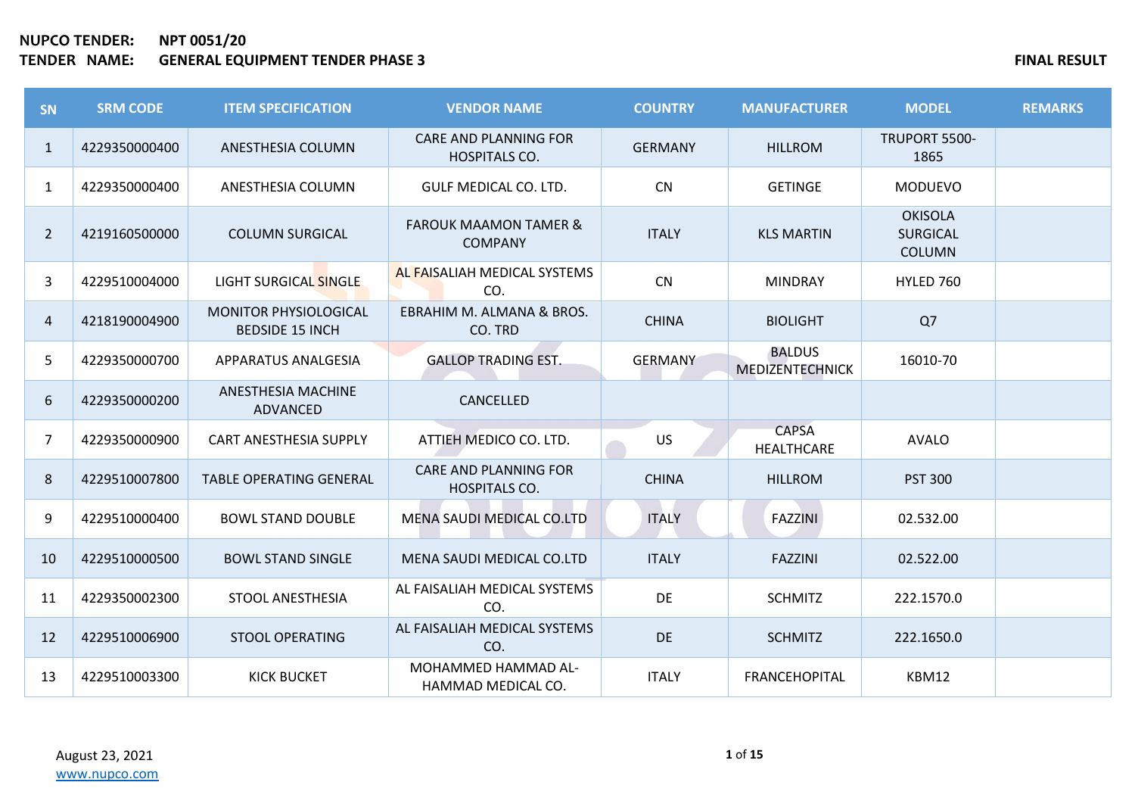| <b>SN</b>      | <b>SRM CODE</b> | <b>ITEM SPECIFICATION</b>                       | <b>VENDOR NAME</b>                                   | <b>COUNTRY</b> | <b>MANUFACTURER</b>               | <b>MODEL</b>                                       | <b>REMARKS</b> |
|----------------|-----------------|-------------------------------------------------|------------------------------------------------------|----------------|-----------------------------------|----------------------------------------------------|----------------|
| $\mathbf{1}$   | 4229350000400   | ANESTHESIA COLUMN                               | <b>CARE AND PLANNING FOR</b><br><b>HOSPITALS CO.</b> | <b>GERMANY</b> | <b>HILLROM</b>                    | TRUPORT 5500-<br>1865                              |                |
| 1              | 4229350000400   | ANESTHESIA COLUMN                               | GULF MEDICAL CO. LTD.                                | <b>CN</b>      | <b>GETINGE</b>                    | <b>MODUEVO</b>                                     |                |
| $\overline{2}$ | 4219160500000   | <b>COLUMN SURGICAL</b>                          | <b>FAROUK MAAMON TAMER &amp;</b><br><b>COMPANY</b>   | <b>ITALY</b>   | <b>KLS MARTIN</b>                 | <b>OKISOLA</b><br><b>SURGICAL</b><br><b>COLUMN</b> |                |
| 3              | 4229510004000   | LIGHT SURGICAL SINGLE                           | AL FAISALIAH MEDICAL SYSTEMS<br>CO.                  | CN             | <b>MINDRAY</b>                    | HYLED 760                                          |                |
| 4              | 4218190004900   | MONITOR PHYSIOLOGICAL<br><b>BEDSIDE 15 INCH</b> | EBRAHIM M. ALMANA & BROS.<br>CO. TRD                 | <b>CHINA</b>   | <b>BIOLIGHT</b>                   | Q7                                                 |                |
| 5              | 4229350000700   | APPARATUS ANALGESIA                             | <b>GALLOP TRADING EST.</b>                           | <b>GERMANY</b> | <b>BALDUS</b><br>MEDIZENTECHNICK  | 16010-70                                           |                |
| 6              | 4229350000200   | ANESTHESIA MACHINE<br>ADVANCED                  | CANCELLED                                            |                |                                   |                                                    |                |
| $\overline{7}$ | 4229350000900   | <b>CART ANESTHESIA SUPPLY</b>                   | ATTIEH MEDICO CO. LTD.                               | <b>US</b>      | <b>CAPSA</b><br><b>HEALTHCARE</b> | <b>AVALO</b>                                       |                |
| 8              | 4229510007800   | <b>TABLE OPERATING GENERAL</b>                  | <b>CARE AND PLANNING FOR</b><br>HOSPITALS CO.        | <b>CHINA</b>   | <b>HILLROM</b>                    | <b>PST 300</b>                                     |                |
| 9              | 4229510000400   | <b>BOWL STAND DOUBLE</b>                        | MENA SAUDI MEDICAL CO.LTD                            | <b>ITALY</b>   | <b>FAZZINI</b>                    | 02.532.00                                          |                |
| 10             | 4229510000500   | <b>BOWL STAND SINGLE</b>                        | MENA SAUDI MEDICAL CO.LTD                            | <b>ITALY</b>   | <b>FAZZINI</b>                    | 02.522.00                                          |                |
| 11             | 4229350002300   | <b>STOOL ANESTHESIA</b>                         | AL FAISALIAH MEDICAL SYSTEMS<br>CO.                  | DE             | <b>SCHMITZ</b>                    | 222.1570.0                                         |                |
| 12             | 4229510006900   | <b>STOOL OPERATING</b>                          | AL FAISALIAH MEDICAL SYSTEMS<br>CO.                  | DE             | <b>SCHMITZ</b>                    | 222.1650.0                                         |                |
| 13             | 4229510003300   | <b>KICK BUCKET</b>                              | MOHAMMED HAMMAD AL-<br>HAMMAD MEDICAL CO.            | <b>ITALY</b>   | <b>FRANCEHOPITAL</b>              | KBM12                                              |                |

August 23, 2021 [www.nupco.com](http://www.nupco.com/)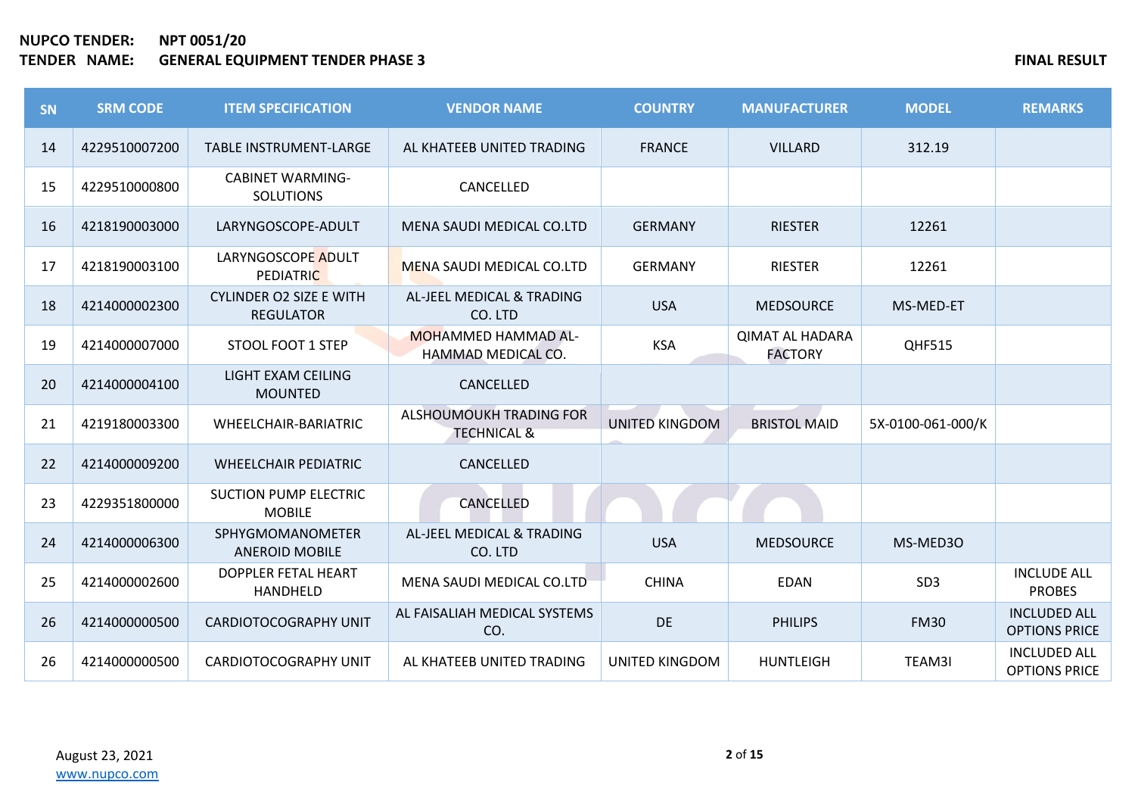| <b>SN</b> | <b>SRM CODE</b> | <b>ITEM SPECIFICATION</b>                          | <b>VENDOR NAME</b>                                | <b>COUNTRY</b>        | <b>MANUFACTURER</b>                      | <b>MODEL</b>      | <b>REMARKS</b>                              |
|-----------|-----------------|----------------------------------------------------|---------------------------------------------------|-----------------------|------------------------------------------|-------------------|---------------------------------------------|
| 14        | 4229510007200   | <b>TABLE INSTRUMENT-LARGE</b>                      | AL KHATEEB UNITED TRADING                         | <b>FRANCE</b>         | <b>VILLARD</b>                           | 312.19            |                                             |
| 15        | 4229510000800   | <b>CABINET WARMING-</b><br><b>SOLUTIONS</b>        | CANCELLED                                         |                       |                                          |                   |                                             |
| 16        | 4218190003000   | LARYNGOSCOPE-ADULT                                 | MENA SAUDI MEDICAL CO.LTD                         | <b>GERMANY</b>        | <b>RIESTER</b>                           | 12261             |                                             |
| 17        | 4218190003100   | LARYNGOSCOPE ADULT<br><b>PEDIATRIC</b>             | MENA SAUDI MEDICAL CO.LTD                         | <b>GERMANY</b>        | <b>RIESTER</b>                           | 12261             |                                             |
| 18        | 4214000002300   | <b>CYLINDER O2 SIZE E WITH</b><br><b>REGULATOR</b> | AL-JEEL MEDICAL & TRADING<br>CO. LTD              | <b>USA</b>            | <b>MEDSOURCE</b>                         | MS-MED-ET         |                                             |
| 19        | 4214000007000   | <b>STOOL FOOT 1 STEP</b>                           | <b>MOHAMMED HAMMAD AL-</b><br>HAMMAD MEDICAL CO.  | <b>KSA</b>            | <b>QIMAT AL HADARA</b><br><b>FACTORY</b> | <b>QHF515</b>     |                                             |
| 20        | 4214000004100   | LIGHT EXAM CEILING<br><b>MOUNTED</b>               | CANCELLED                                         |                       |                                          |                   |                                             |
| 21        | 4219180003300   | WHEELCHAIR-BARIATRIC                               | ALSHOUMOUKH TRADING FOR<br><b>TECHNICAL &amp;</b> | <b>UNITED KINGDOM</b> | <b>BRISTOL MAID</b>                      | 5X-0100-061-000/K |                                             |
| 22        | 4214000009200   | <b>WHEELCHAIR PEDIATRIC</b>                        | CANCELLED                                         |                       |                                          |                   |                                             |
| 23        | 4229351800000   | <b>SUCTION PUMP ELECTRIC</b><br><b>MOBILE</b>      | CANCELLED                                         |                       |                                          |                   |                                             |
| 24        | 4214000006300   | <b>SPHYGMOMANOMETER</b><br><b>ANEROID MOBILE</b>   | AL-JEEL MEDICAL & TRADING<br>CO. LTD              | <b>USA</b>            | <b>MEDSOURCE</b>                         | MS-MED30          |                                             |
| 25        | 4214000002600   | DOPPLER FETAL HEART<br>HANDHELD                    | MENA SAUDI MEDICAL CO.LTD                         | <b>CHINA</b>          | <b>EDAN</b>                              | SD <sub>3</sub>   | <b>INCLUDE ALL</b><br><b>PROBES</b>         |
| 26        | 4214000000500   | <b>CARDIOTOCOGRAPHY UNIT</b>                       | AL FAISALIAH MEDICAL SYSTEMS<br>CO.               | DE                    | <b>PHILIPS</b>                           | <b>FM30</b>       | <b>INCLUDED ALL</b><br><b>OPTIONS PRICE</b> |
| 26        | 4214000000500   | <b>CARDIOTOCOGRAPHY UNIT</b>                       | AL KHATEEB UNITED TRADING                         | <b>UNITED KINGDOM</b> | <b>HUNTLEIGH</b>                         | TEAM3I            | <b>INCLUDED ALL</b><br><b>OPTIONS PRICE</b> |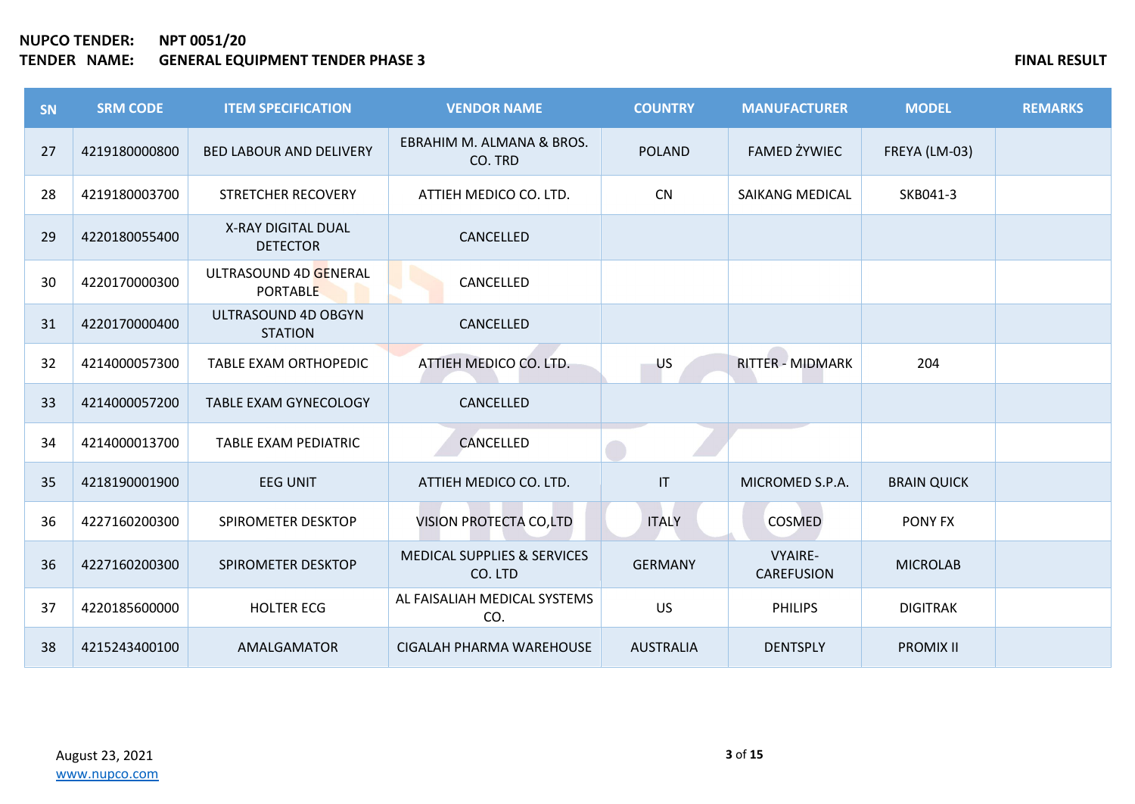| SN | <b>SRM CODE</b> | <b>ITEM SPECIFICATION</b>                    | <b>VENDOR NAME</b>                                | <b>COUNTRY</b>         | <b>MANUFACTURER</b>                 | <b>MODEL</b>       | <b>REMARKS</b> |
|----|-----------------|----------------------------------------------|---------------------------------------------------|------------------------|-------------------------------------|--------------------|----------------|
| 27 | 4219180000800   | <b>BED LABOUR AND DELIVERY</b>               | EBRAHIM M. ALMANA & BROS.<br>CO. TRD              | <b>POLAND</b>          | <b>FAMED ŻYWIEC</b>                 | FREYA (LM-03)      |                |
| 28 | 4219180003700   | <b>STRETCHER RECOVERY</b>                    | ATTIEH MEDICO CO. LTD.                            | <b>CN</b>              | <b>SAIKANG MEDICAL</b>              | SKB041-3           |                |
| 29 | 4220180055400   | <b>X-RAY DIGITAL DUAL</b><br><b>DETECTOR</b> | CANCELLED                                         |                        |                                     |                    |                |
| 30 | 4220170000300   | ULTRASOUND 4D GENERAL<br><b>PORTABLE</b>     | CANCELLED                                         |                        |                                     |                    |                |
| 31 | 4220170000400   | ULTRASOUND 4D OBGYN<br><b>STATION</b>        | CANCELLED                                         |                        |                                     |                    |                |
| 32 | 4214000057300   | TABLE EXAM ORTHOPEDIC                        | ATTIEH MEDICO CO. LTD.                            | US                     | <b>RITTER - MIDMARK</b>             | 204                |                |
| 33 | 4214000057200   | <b>TABLE EXAM GYNECOLOGY</b>                 | CANCELLED                                         |                        |                                     |                    |                |
| 34 | 4214000013700   | TABLE EXAM PEDIATRIC                         | CANCELLED                                         |                        |                                     |                    |                |
| 35 | 4218190001900   | <b>EEG UNIT</b>                              | ATTIEH MEDICO CO. LTD.                            | $\mathsf{I}\mathsf{T}$ | MICROMED S.P.A.                     | <b>BRAIN QUICK</b> |                |
| 36 | 4227160200300   | SPIROMETER DESKTOP                           | VISION PROTECTA CO,LTD                            | <b>ITALY</b>           | COSMED                              | PONY FX            |                |
| 36 | 4227160200300   | SPIROMETER DESKTOP                           | <b>MEDICAL SUPPLIES &amp; SERVICES</b><br>CO. LTD | <b>GERMANY</b>         | <b>VYAIRE-</b><br><b>CAREFUSION</b> | <b>MICROLAB</b>    |                |
| 37 | 4220185600000   | <b>HOLTER ECG</b>                            | AL FAISALIAH MEDICAL SYSTEMS<br>CO.               | <b>US</b>              | <b>PHILIPS</b>                      | <b>DIGITRAK</b>    |                |
| 38 | 4215243400100   | AMALGAMATOR                                  | CIGALAH PHARMA WAREHOUSE                          | <b>AUSTRALIA</b>       | <b>DENTSPLY</b>                     | <b>PROMIX II</b>   |                |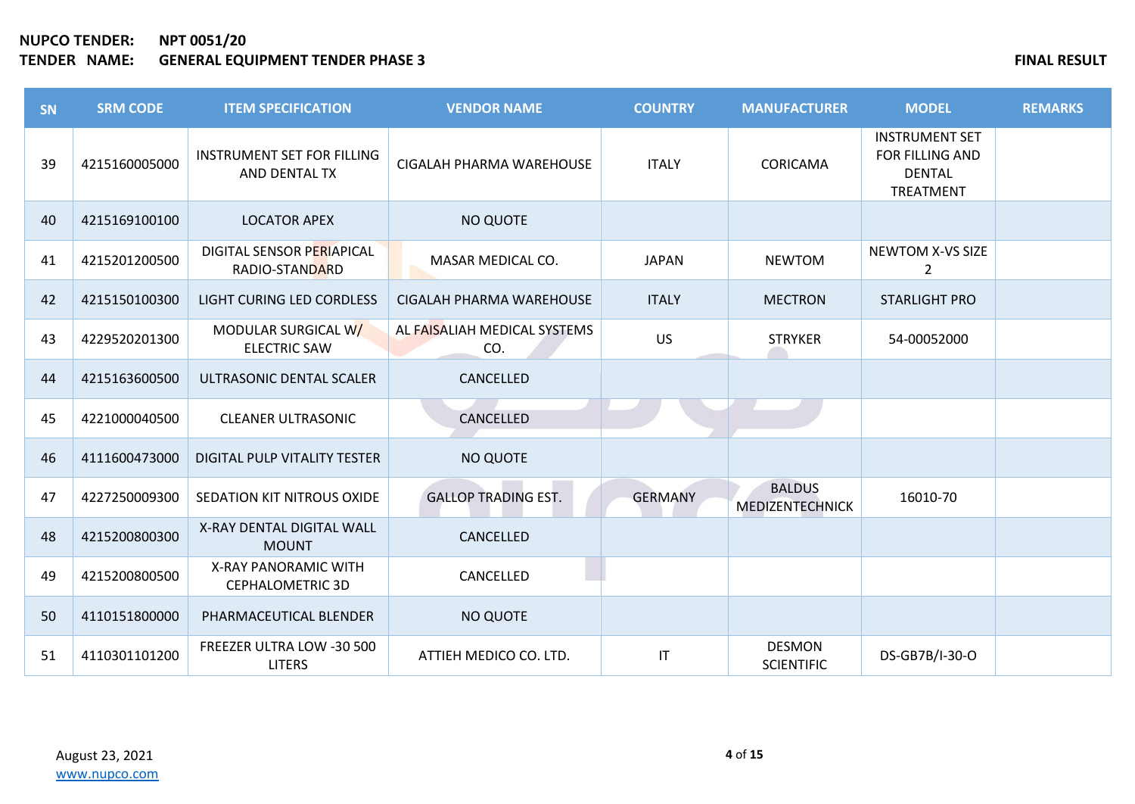| SN | <b>SRM CODE</b> | <b>ITEM SPECIFICATION</b>                          | <b>VENDOR NAME</b>                  | <b>COUNTRY</b>         | <b>MANUFACTURER</b>                | <b>MODEL</b>                                                           | <b>REMARKS</b> |
|----|-----------------|----------------------------------------------------|-------------------------------------|------------------------|------------------------------------|------------------------------------------------------------------------|----------------|
| 39 | 4215160005000   | <b>INSTRUMENT SET FOR FILLING</b><br>AND DENTAL TX | CIGALAH PHARMA WAREHOUSE            | <b>ITALY</b>           | CORICAMA                           | <b>INSTRUMENT SET</b><br>FOR FILLING AND<br><b>DENTAL</b><br>TREATMENT |                |
| 40 | 4215169100100   | <b>LOCATOR APEX</b>                                | NO QUOTE                            |                        |                                    |                                                                        |                |
| 41 | 4215201200500   | DIGITAL SENSOR PERIAPICAL<br>RADIO-STANDARD        | MASAR MEDICAL CO.                   | <b>JAPAN</b>           | <b>NEWTOM</b>                      | <b>NEWTOM X-VS SIZE</b><br>$\overline{2}$                              |                |
| 42 | 4215150100300   | LIGHT CURING LED CORDLESS                          | CIGALAH PHARMA WAREHOUSE            | <b>ITALY</b>           | <b>MECTRON</b>                     | <b>STARLIGHT PRO</b>                                                   |                |
| 43 | 4229520201300   | MODULAR SURGICAL W/<br><b>ELECTRIC SAW</b>         | AL FAISALIAH MEDICAL SYSTEMS<br>CO. | <b>US</b>              | <b>STRYKER</b>                     | 54-00052000                                                            |                |
| 44 | 4215163600500   | ULTRASONIC DENTAL SCALER                           | CANCELLED                           |                        |                                    |                                                                        |                |
| 45 | 4221000040500   | <b>CLEANER ULTRASONIC</b>                          | CANCELLED                           |                        |                                    |                                                                        |                |
| 46 | 4111600473000   | DIGITAL PULP VITALITY TESTER                       | NO QUOTE                            |                        |                                    |                                                                        |                |
| 47 | 4227250009300   | SEDATION KIT NITROUS OXIDE                         | <b>GALLOP TRADING EST.</b>          | <b>GERMANY</b>         | <b>BALDUS</b><br>MEDIZENTECHNICK   | 16010-70                                                               |                |
| 48 | 4215200800300   | X-RAY DENTAL DIGITAL WALL<br><b>MOUNT</b>          | CANCELLED                           |                        |                                    |                                                                        |                |
| 49 | 4215200800500   | X-RAY PANORAMIC WITH<br><b>CEPHALOMETRIC 3D</b>    | CANCELLED                           |                        |                                    |                                                                        |                |
| 50 | 4110151800000   | PHARMACEUTICAL BLENDER                             | NO QUOTE                            |                        |                                    |                                                                        |                |
| 51 | 4110301101200   | FREEZER ULTRA LOW -30 500<br><b>LITERS</b>         | ATTIEH MEDICO CO. LTD.              | $\mathsf{I}\mathsf{T}$ | <b>DESMON</b><br><b>SCIENTIFIC</b> | DS-GB7B/I-30-O                                                         |                |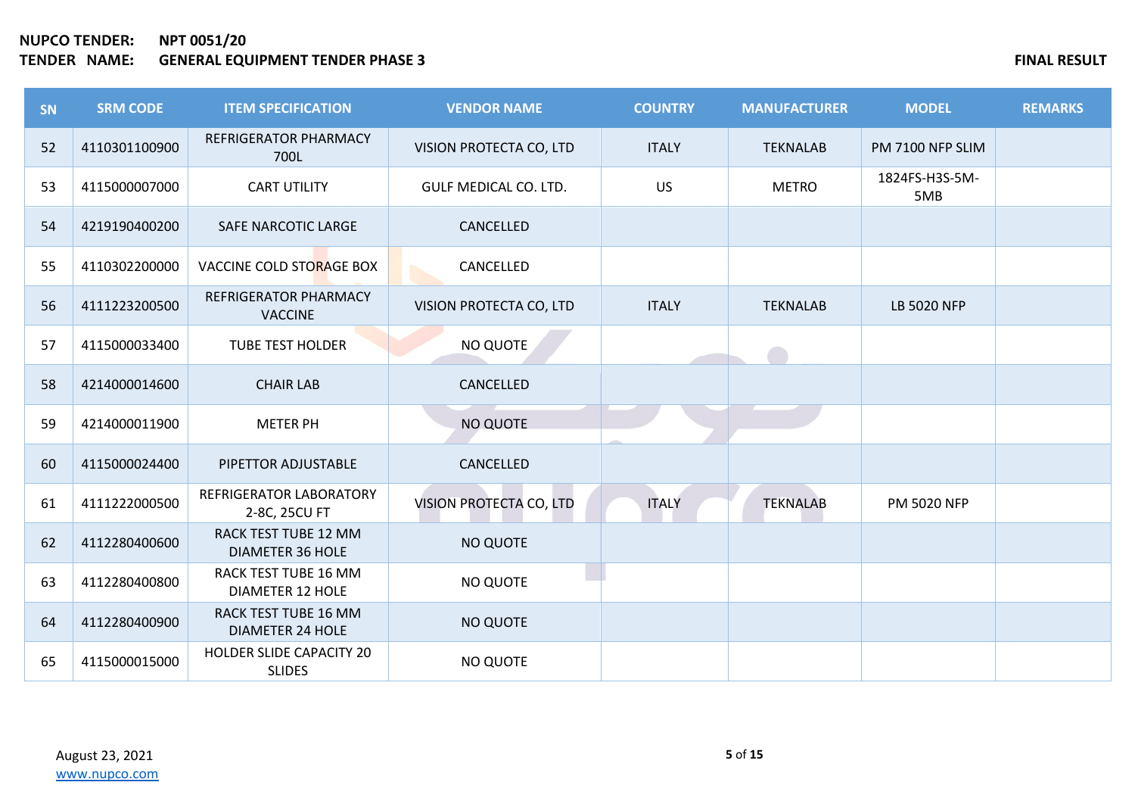| <b>SN</b> | <b>SRM CODE</b> | <b>ITEM SPECIFICATION</b>                        | <b>VENDOR NAME</b>      | <b>COUNTRY</b> | <b>MANUFACTURER</b> | <b>MODEL</b>          | <b>REMARKS</b> |
|-----------|-----------------|--------------------------------------------------|-------------------------|----------------|---------------------|-----------------------|----------------|
| 52        | 4110301100900   | <b>REFRIGERATOR PHARMACY</b><br>700L             | VISION PROTECTA CO, LTD | <b>ITALY</b>   | <b>TEKNALAB</b>     | PM 7100 NFP SLIM      |                |
| 53        | 4115000007000   | <b>CART UTILITY</b>                              | GULF MEDICAL CO. LTD.   | <b>US</b>      | <b>METRO</b>        | 1824FS-H3S-5M-<br>5MB |                |
| 54        | 4219190400200   | SAFE NARCOTIC LARGE                              | CANCELLED               |                |                     |                       |                |
| 55        | 4110302200000   | <b>VACCINE COLD STORAGE BOX</b>                  | CANCELLED               |                |                     |                       |                |
| 56        | 4111223200500   | REFRIGERATOR PHARMACY<br><b>VACCINE</b>          | VISION PROTECTA CO, LTD | <b>ITALY</b>   | <b>TEKNALAB</b>     | <b>LB 5020 NFP</b>    |                |
| 57        | 4115000033400   | <b>TUBE TEST HOLDER</b>                          | NO QUOTE                |                |                     |                       |                |
| 58        | 4214000014600   | <b>CHAIR LAB</b>                                 | CANCELLED               |                |                     |                       |                |
| 59        | 4214000011900   | <b>METER PH</b>                                  | <b>NO QUOTE</b>         |                |                     |                       |                |
| 60        | 4115000024400   | PIPETTOR ADJUSTABLE                              | CANCELLED               |                |                     |                       |                |
| 61        | 4111222000500   | REFRIGERATOR LABORATORY<br>2-8C, 25CU FT         | VISION PROTECTA CO, LTD | <b>ITALY</b>   | <b>TEKNALAB</b>     | <b>PM 5020 NFP</b>    |                |
| 62        | 4112280400600   | RACK TEST TUBE 12 MM<br><b>DIAMETER 36 HOLE</b>  | NO QUOTE                |                |                     |                       |                |
| 63        | 4112280400800   | RACK TEST TUBE 16 MM<br><b>DIAMETER 12 HOLE</b>  | NO QUOTE                |                |                     |                       |                |
| 64        | 4112280400900   | RACK TEST TUBE 16 MM<br><b>DIAMETER 24 HOLE</b>  | <b>NO QUOTE</b>         |                |                     |                       |                |
| 65        | 4115000015000   | <b>HOLDER SLIDE CAPACITY 20</b><br><b>SLIDES</b> | <b>NO QUOTE</b>         |                |                     |                       |                |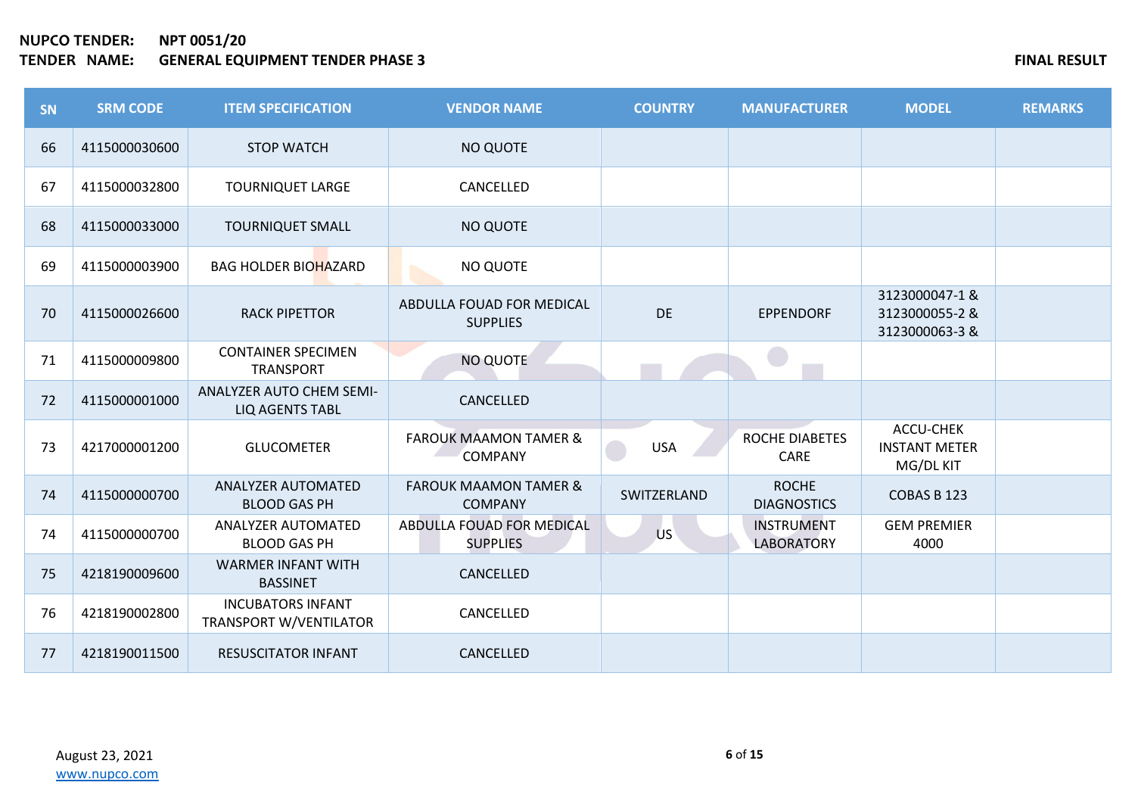| <b>SN</b> | <b>SRM CODE</b> | <b>ITEM SPECIFICATION</b>                                 | <b>VENDOR NAME</b>                                 | <b>COUNTRY</b> | <b>MANUFACTURER</b>                    | <b>MODEL</b>                                     | <b>REMARKS</b> |
|-----------|-----------------|-----------------------------------------------------------|----------------------------------------------------|----------------|----------------------------------------|--------------------------------------------------|----------------|
| 66        | 4115000030600   | <b>STOP WATCH</b>                                         | NO QUOTE                                           |                |                                        |                                                  |                |
| 67        | 4115000032800   | <b>TOURNIQUET LARGE</b>                                   | CANCELLED                                          |                |                                        |                                                  |                |
| 68        | 4115000033000   | <b>TOURNIQUET SMALL</b>                                   | NO QUOTE                                           |                |                                        |                                                  |                |
| 69        | 4115000003900   | <b>BAG HOLDER BIOHAZARD</b>                               | NO QUOTE                                           |                |                                        |                                                  |                |
| 70        | 4115000026600   | <b>RACK PIPETTOR</b>                                      | ABDULLA FOUAD FOR MEDICAL<br><b>SUPPLIES</b>       | DE             | <b>EPPENDORF</b>                       | 3123000047-1&<br>3123000055-2 &<br>3123000063-3& |                |
| 71        | 4115000009800   | <b>CONTAINER SPECIMEN</b><br><b>TRANSPORT</b>             | <b>NO QUOTE</b>                                    |                |                                        |                                                  |                |
| 72        | 4115000001000   | ANALYZER AUTO CHEM SEMI-<br><b>LIQ AGENTS TABL</b>        | CANCELLED                                          |                |                                        |                                                  |                |
| 73        | 4217000001200   | <b>GLUCOMETER</b>                                         | <b>FAROUK MAAMON TAMER &amp;</b><br><b>COMPANY</b> | <b>USA</b>     | <b>ROCHE DIABETES</b><br>CARE          | ACCU-CHEK<br><b>INSTANT METER</b><br>MG/DL KIT   |                |
| 74        | 4115000000700   | <b>ANALYZER AUTOMATED</b><br><b>BLOOD GAS PH</b>          | <b>FAROUK MAAMON TAMER &amp;</b><br><b>COMPANY</b> | SWITZERLAND    | <b>ROCHE</b><br><b>DIAGNOSTICS</b>     | COBAS B 123                                      |                |
| 74        | 4115000000700   | <b>ANALYZER AUTOMATED</b><br><b>BLOOD GAS PH</b>          | ABDULLA FOUAD FOR MEDICAL<br><b>SUPPLIES</b>       | <b>US</b>      | <b>INSTRUMENT</b><br><b>LABORATORY</b> | <b>GEM PREMIER</b><br>4000                       |                |
| 75        | 4218190009600   | <b>WARMER INFANT WITH</b><br><b>BASSINET</b>              | CANCELLED                                          |                |                                        |                                                  |                |
| 76        | 4218190002800   | <b>INCUBATORS INFANT</b><br><b>TRANSPORT W/VENTILATOR</b> | CANCELLED                                          |                |                                        |                                                  |                |
| 77        | 4218190011500   | <b>RESUSCITATOR INFANT</b>                                | CANCELLED                                          |                |                                        |                                                  |                |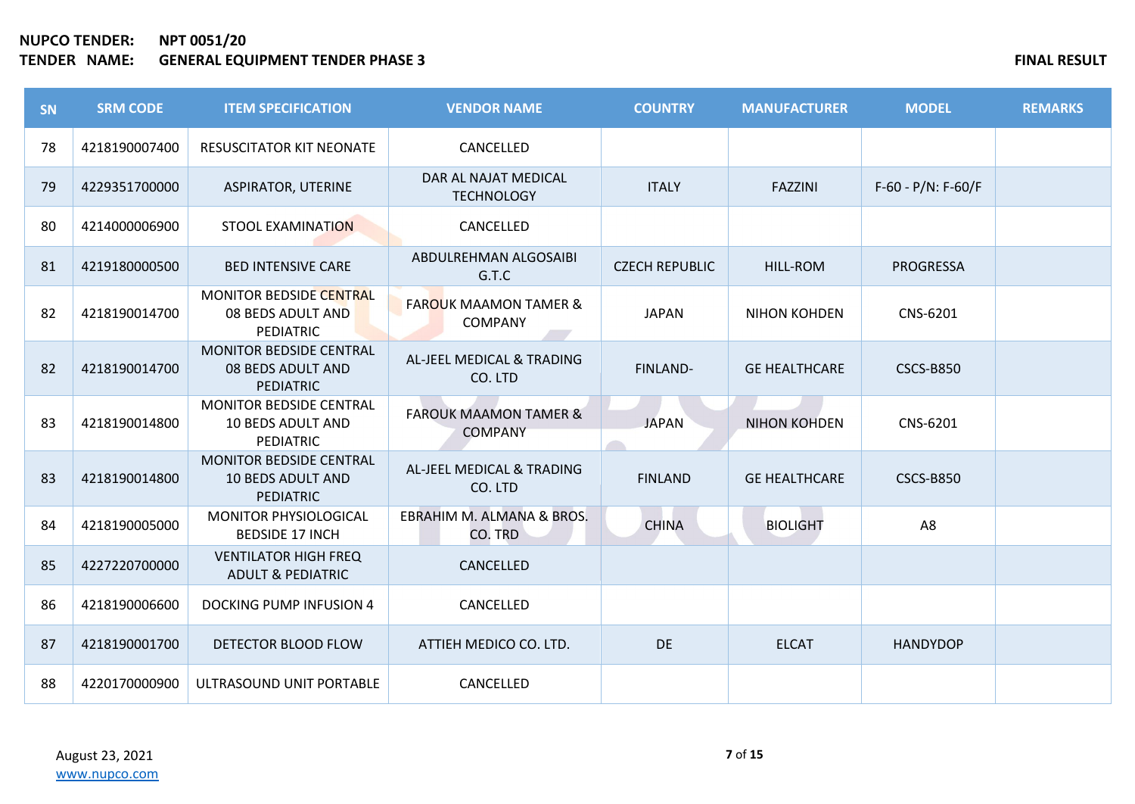| <b>SN</b> | <b>SRM CODE</b> | <b>ITEM SPECIFICATION</b>                                                      | <b>VENDOR NAME</b>                                 | <b>COUNTRY</b>        | <b>MANUFACTURER</b>  | <b>MODEL</b>            | <b>REMARKS</b> |
|-----------|-----------------|--------------------------------------------------------------------------------|----------------------------------------------------|-----------------------|----------------------|-------------------------|----------------|
| 78        | 4218190007400   | <b>RESUSCITATOR KIT NEONATE</b>                                                | CANCELLED                                          |                       |                      |                         |                |
| 79        | 4229351700000   | <b>ASPIRATOR, UTERINE</b>                                                      | DAR AL NAJAT MEDICAL<br><b>TECHNOLOGY</b>          | <b>ITALY</b>          | <b>FAZZINI</b>       | $F-60 - P/N$ : $F-60/F$ |                |
| 80        | 4214000006900   | <b>STOOL EXAMINATION</b>                                                       | CANCELLED                                          |                       |                      |                         |                |
| 81        | 4219180000500   | <b>BED INTENSIVE CARE</b>                                                      | ABDULREHMAN ALGOSAIBI<br>G.T.C                     | <b>CZECH REPUBLIC</b> | <b>HILL-ROM</b>      | <b>PROGRESSA</b>        |                |
| 82        | 4218190014700   | MONITOR BEDSIDE CENTRAL<br>08 BEDS ADULT AND<br><b>PEDIATRIC</b>               | <b>FAROUK MAAMON TAMER &amp;</b><br><b>COMPANY</b> | <b>JAPAN</b>          | <b>NIHON KOHDEN</b>  | CNS-6201                |                |
| 82        | 4218190014700   | <b>MONITOR BEDSIDE CENTRAL</b><br>08 BEDS ADULT AND<br><b>PEDIATRIC</b>        | AL-JEEL MEDICAL & TRADING<br>CO. LTD               | FINLAND-              | <b>GE HEALTHCARE</b> | <b>CSCS-B850</b>        |                |
| 83        | 4218190014800   | <b>MONITOR BEDSIDE CENTRAL</b><br><b>10 BEDS ADULT AND</b><br><b>PEDIATRIC</b> | <b>FAROUK MAAMON TAMER &amp;</b><br><b>COMPANY</b> | <b>JAPAN</b>          | <b>NIHON KOHDEN</b>  | CNS-6201                |                |
| 83        | 4218190014800   | MONITOR BEDSIDE CENTRAL<br><b>10 BEDS ADULT AND</b><br><b>PEDIATRIC</b>        | AL-JEEL MEDICAL & TRADING<br>CO. LTD               | <b>FINLAND</b>        | <b>GE HEALTHCARE</b> | <b>CSCS-B850</b>        |                |
| 84        | 4218190005000   | MONITOR PHYSIOLOGICAL<br><b>BEDSIDE 17 INCH</b>                                | EBRAHIM M. ALMANA & BROS.<br>CO. TRD               | <b>CHINA</b>          | <b>BIOLIGHT</b>      | A8                      |                |
| 85        | 4227220700000   | <b>VENTILATOR HIGH FREQ</b><br><b>ADULT &amp; PEDIATRIC</b>                    | CANCELLED                                          |                       |                      |                         |                |
| 86        | 4218190006600   | DOCKING PUMP INFUSION 4                                                        | CANCELLED                                          |                       |                      |                         |                |
| 87        | 4218190001700   | DETECTOR BLOOD FLOW                                                            | ATTIEH MEDICO CO. LTD.                             | <b>DE</b>             | <b>ELCAT</b>         | <b>HANDYDOP</b>         |                |
| 88        | 4220170000900   | ULTRASOUND UNIT PORTABLE                                                       | CANCELLED                                          |                       |                      |                         |                |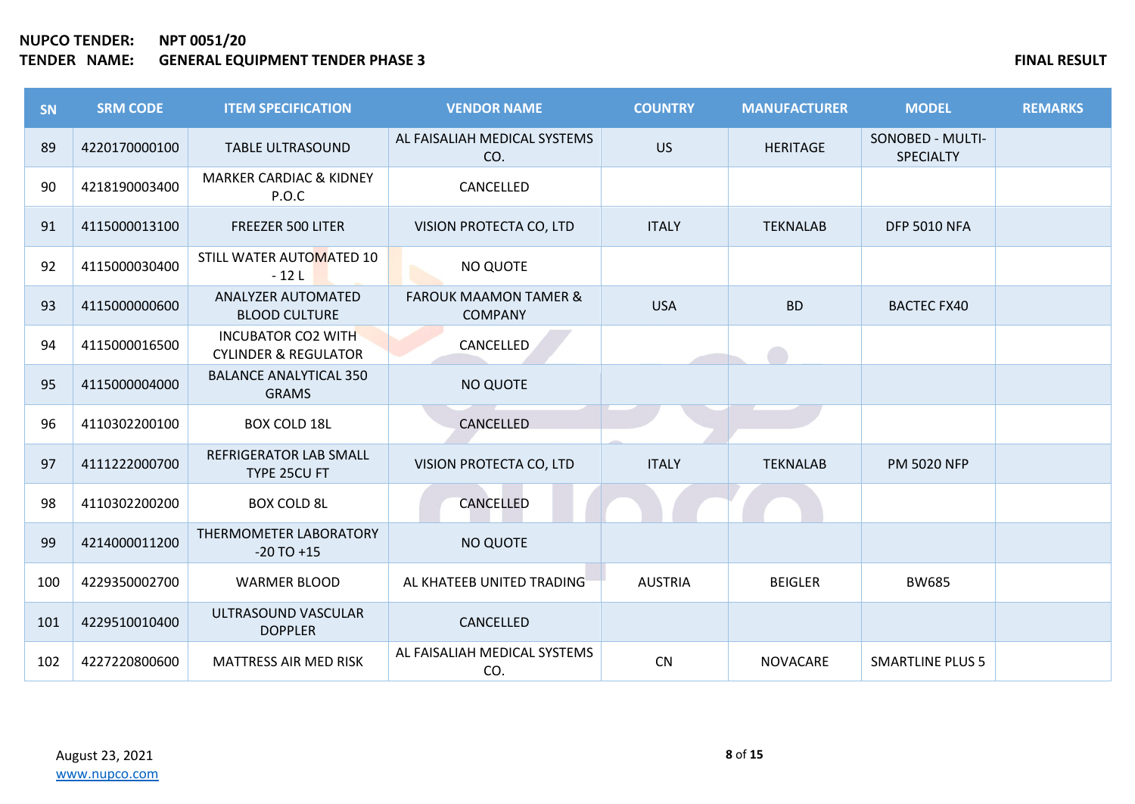| SN  | <b>SRM CODE</b> | <b>ITEM SPECIFICATION</b>                                    | <b>VENDOR NAME</b>                                 | <b>COUNTRY</b> | <b>MANUFACTURER</b> | <b>MODEL</b>                         | <b>REMARKS</b> |
|-----|-----------------|--------------------------------------------------------------|----------------------------------------------------|----------------|---------------------|--------------------------------------|----------------|
| 89  | 4220170000100   | <b>TABLE ULTRASOUND</b>                                      | AL FAISALIAH MEDICAL SYSTEMS<br>CO.                | <b>US</b>      | <b>HERITAGE</b>     | SONOBED - MULTI-<br><b>SPECIALTY</b> |                |
| 90  | 4218190003400   | <b>MARKER CARDIAC &amp; KIDNEY</b><br>P.O.C                  | CANCELLED                                          |                |                     |                                      |                |
| 91  | 4115000013100   | FREEZER 500 LITER                                            | VISION PROTECTA CO, LTD                            | <b>ITALY</b>   | <b>TEKNALAB</b>     | <b>DFP 5010 NFA</b>                  |                |
| 92  | 4115000030400   | STILL WATER AUTOMATED 10<br>$-12L$                           | NO QUOTE                                           |                |                     |                                      |                |
| 93  | 4115000000600   | <b>ANALYZER AUTOMATED</b><br><b>BLOOD CULTURE</b>            | <b>FAROUK MAAMON TAMER &amp;</b><br><b>COMPANY</b> | <b>USA</b>     | <b>BD</b>           | <b>BACTEC FX40</b>                   |                |
| 94  | 4115000016500   | <b>INCUBATOR CO2 WITH</b><br><b>CYLINDER &amp; REGULATOR</b> | CANCELLED                                          |                |                     |                                      |                |
| 95  | 4115000004000   | <b>BALANCE ANALYTICAL 350</b><br><b>GRAMS</b>                | <b>NO QUOTE</b>                                    |                |                     |                                      |                |
| 96  | 4110302200100   | <b>BOX COLD 18L</b>                                          | CANCELLED                                          |                |                     |                                      |                |
| 97  | 4111222000700   | <b>REFRIGERATOR LAB SMALL</b><br>TYPE 25CU FT                | VISION PROTECTA CO, LTD                            | <b>ITALY</b>   | <b>TEKNALAB</b>     | <b>PM 5020 NFP</b>                   |                |
| 98  | 4110302200200   | <b>BOX COLD 8L</b>                                           | CANCELLED                                          |                |                     |                                      |                |
| 99  | 4214000011200   | THERMOMETER LABORATORY<br>$-20$ TO $+15$                     | <b>NO QUOTE</b>                                    |                |                     |                                      |                |
| 100 | 4229350002700   | <b>WARMER BLOOD</b>                                          | AL KHATEEB UNITED TRADING                          | <b>AUSTRIA</b> | <b>BEIGLER</b>      | <b>BW685</b>                         |                |
| 101 | 4229510010400   | ULTRASOUND VASCULAR<br><b>DOPPLER</b>                        | CANCELLED                                          |                |                     |                                      |                |
| 102 | 4227220800600   | <b>MATTRESS AIR MED RISK</b>                                 | AL FAISALIAH MEDICAL SYSTEMS<br>CO.                | CN             | <b>NOVACARE</b>     | <b>SMARTLINE PLUS 5</b>              |                |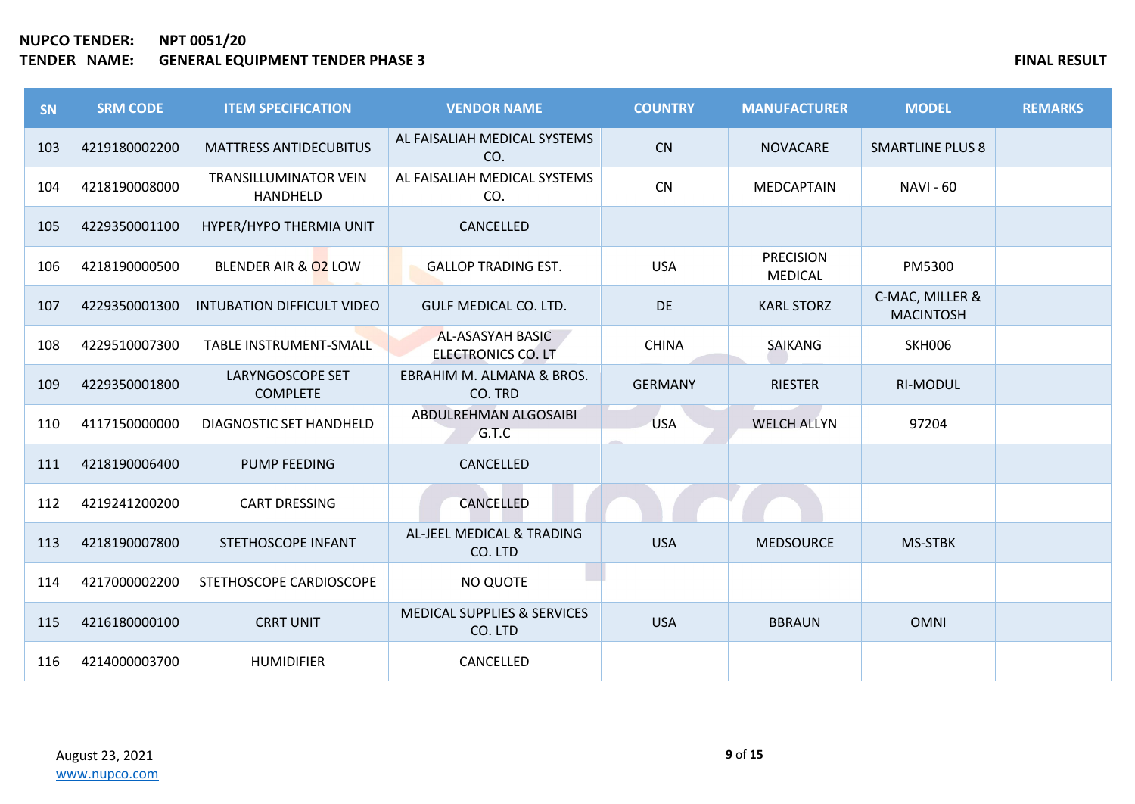| SN  | <b>SRM CODE</b> | <b>ITEM SPECIFICATION</b>                | <b>VENDOR NAME</b>                            | <b>COUNTRY</b> | <b>MANUFACTURER</b>                | <b>MODEL</b>                        | <b>REMARKS</b> |
|-----|-----------------|------------------------------------------|-----------------------------------------------|----------------|------------------------------------|-------------------------------------|----------------|
| 103 | 4219180002200   | <b>MATTRESS ANTIDECUBITUS</b>            | AL FAISALIAH MEDICAL SYSTEMS<br>CO.           | <b>CN</b>      | <b>NOVACARE</b>                    | <b>SMARTLINE PLUS 8</b>             |                |
| 104 | 4218190008000   | <b>TRANSILLUMINATOR VEIN</b><br>HANDHELD | AL FAISALIAH MEDICAL SYSTEMS<br>CO.           | CN             | <b>MEDCAPTAIN</b>                  | <b>NAVI - 60</b>                    |                |
| 105 | 4229350001100   | HYPER/HYPO THERMIA UNIT                  | CANCELLED                                     |                |                                    |                                     |                |
| 106 | 4218190000500   | BLENDER AIR & 02 LOW                     | <b>GALLOP TRADING EST.</b>                    | <b>USA</b>     | <b>PRECISION</b><br><b>MEDICAL</b> | PM5300                              |                |
| 107 | 4229350001300   | <b>INTUBATION DIFFICULT VIDEO</b>        | <b>GULF MEDICAL CO. LTD.</b>                  | DE             | <b>KARL STORZ</b>                  | C-MAC, MILLER &<br><b>MACINTOSH</b> |                |
| 108 | 4229510007300   | <b>TABLE INSTRUMENT-SMALL</b>            | AL-ASASYAH BASIC<br><b>ELECTRONICS CO. LT</b> | <b>CHINA</b>   | <b>SAIKANG</b>                     | <b>SKH006</b>                       |                |
| 109 | 4229350001800   | LARYNGOSCOPE SET<br><b>COMPLETE</b>      | EBRAHIM M. ALMANA & BROS.<br>CO. TRD          | <b>GERMANY</b> | <b>RIESTER</b>                     | <b>RI-MODUL</b>                     |                |
| 110 | 4117150000000   | DIAGNOSTIC SET HANDHELD                  | ABDULREHMAN ALGOSAIBI<br>G.T.C                | <b>USA</b>     | <b>WELCH ALLYN</b>                 | 97204                               |                |
| 111 | 4218190006400   | <b>PUMP FEEDING</b>                      | CANCELLED                                     |                |                                    |                                     |                |
| 112 | 4219241200200   | <b>CART DRESSING</b>                     | <b>CANCELLED</b>                              |                |                                    |                                     |                |
| 113 | 4218190007800   | STETHOSCOPE INFANT                       | AL-JEEL MEDICAL & TRADING<br>CO. LTD          | <b>USA</b>     | <b>MEDSOURCE</b>                   | MS-STBK                             |                |
| 114 | 4217000002200   | STETHOSCOPE CARDIOSCOPE                  | <b>NO QUOTE</b>                               |                |                                    |                                     |                |
| 115 | 4216180000100   | <b>CRRT UNIT</b>                         | MEDICAL SUPPLIES & SERVICES<br>CO. LTD        | <b>USA</b>     | <b>BBRAUN</b>                      | <b>OMNI</b>                         |                |
| 116 | 4214000003700   | <b>HUMIDIFIER</b>                        | CANCELLED                                     |                |                                    |                                     |                |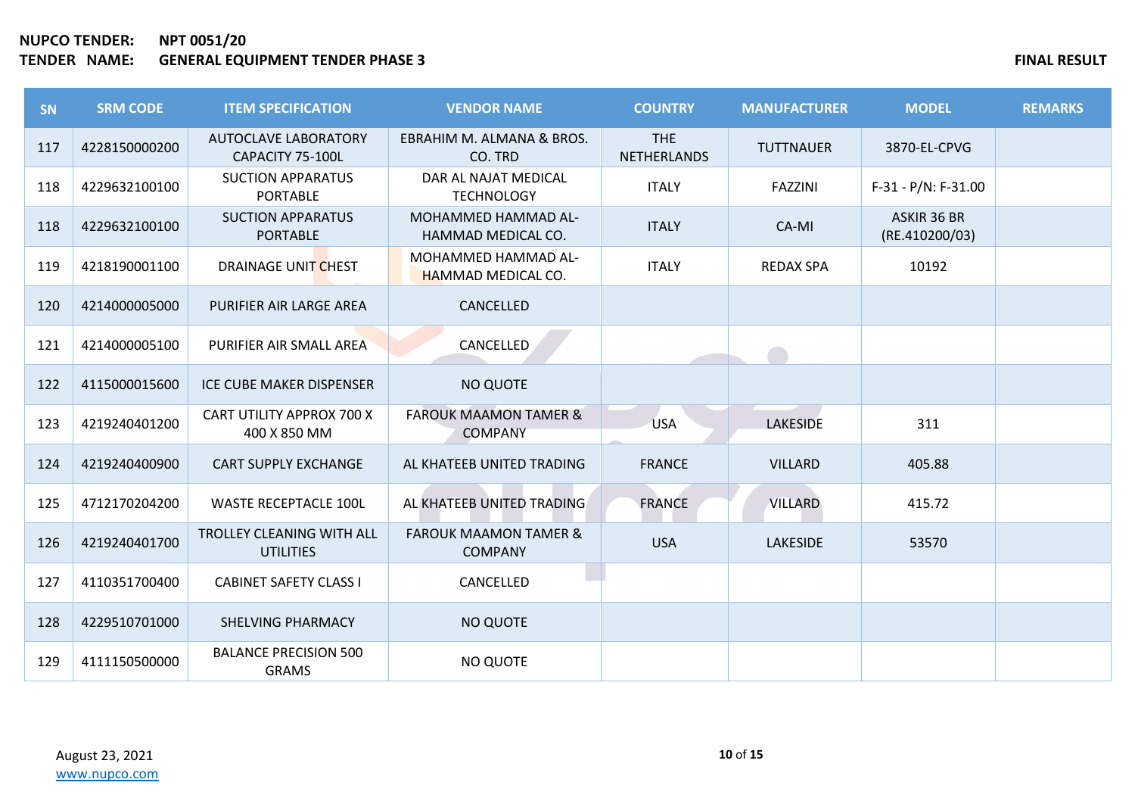| SN  | <b>SRM CODE</b> | <b>ITEM SPECIFICATION</b>                       | <b>VENDOR NAME</b>                                 | <b>COUNTRY</b>                   | <b>MANUFACTURER</b> | <b>MODEL</b>                  | <b>REMARKS</b> |
|-----|-----------------|-------------------------------------------------|----------------------------------------------------|----------------------------------|---------------------|-------------------------------|----------------|
| 117 | 4228150000200   | <b>AUTOCLAVE LABORATORY</b><br>CAPACITY 75-100L | EBRAHIM M. ALMANA & BROS.<br>CO. TRD               | <b>THE</b><br><b>NETHERLANDS</b> | <b>TUTTNAUER</b>    | 3870-EL-CPVG                  |                |
| 118 | 4229632100100   | <b>SUCTION APPARATUS</b><br><b>PORTABLE</b>     | DAR AL NAJAT MEDICAL<br><b>TECHNOLOGY</b>          | <b>ITALY</b>                     | <b>FAZZINI</b>      | $F-31 - P/N$ : $F-31.00$      |                |
| 118 | 4229632100100   | <b>SUCTION APPARATUS</b><br><b>PORTABLE</b>     | <b>MOHAMMED HAMMAD AL-</b><br>HAMMAD MEDICAL CO.   | <b>ITALY</b>                     | CA-MI               | ASKIR 36 BR<br>(RE.410200/03) |                |
| 119 | 4218190001100   | DRAINAGE UNIT CHEST                             | MOHAMMED HAMMAD AL-<br><b>HAMMAD MEDICAL CO.</b>   | <b>ITALY</b>                     | <b>REDAX SPA</b>    | 10192                         |                |
| 120 | 4214000005000   | PURIFIER AIR LARGE AREA                         | CANCELLED                                          |                                  |                     |                               |                |
| 121 | 4214000005100   | PURIFIER AIR SMALL AREA                         | CANCELLED                                          |                                  |                     |                               |                |
| 122 | 4115000015600   | ICE CUBE MAKER DISPENSER                        | <b>NO QUOTE</b>                                    |                                  |                     |                               |                |
| 123 | 4219240401200   | CART UTILITY APPROX 700 X<br>400 X 850 MM       | <b>FAROUK MAAMON TAMER &amp;</b><br><b>COMPANY</b> | <b>USA</b>                       | <b>LAKESIDE</b>     | 311                           |                |
| 124 | 4219240400900   | <b>CART SUPPLY EXCHANGE</b>                     | AL KHATEEB UNITED TRADING                          | <b>FRANCE</b>                    | <b>VILLARD</b>      | 405.88                        |                |
| 125 | 4712170204200   | <b>WASTE RECEPTACLE 100L</b>                    | AL KHATEEB UNITED TRADING                          | <b>FRANCE</b>                    | VILLARD             | 415.72                        |                |
| 126 | 4219240401700   | TROLLEY CLEANING WITH ALL<br><b>UTILITIES</b>   | <b>FAROUK MAAMON TAMER &amp;</b><br><b>COMPANY</b> | <b>USA</b>                       | <b>LAKESIDE</b>     | 53570                         |                |
| 127 | 4110351700400   | <b>CABINET SAFETY CLASS I</b>                   | CANCELLED                                          |                                  |                     |                               |                |
| 128 | 4229510701000   | SHELVING PHARMACY                               | <b>NO QUOTE</b>                                    |                                  |                     |                               |                |
| 129 | 4111150500000   | <b>BALANCE PRECISION 500</b><br><b>GRAMS</b>    | NO QUOTE                                           |                                  |                     |                               |                |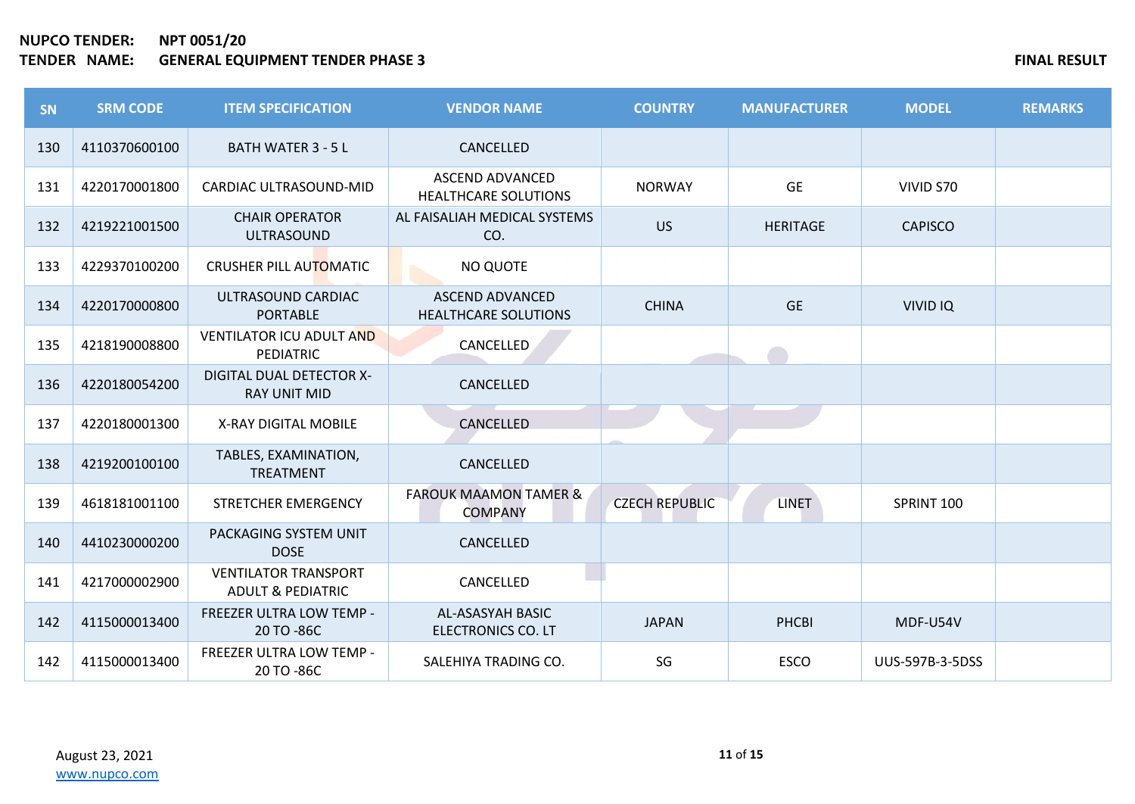| SN  | <b>SRM CODE</b> | <b>ITEM SPECIFICATION</b>                                   | <b>VENDOR NAME</b>                                    | <b>COUNTRY</b>        | <b>MANUFACTURER</b> | <b>MODEL</b>           | <b>REMARKS</b> |
|-----|-----------------|-------------------------------------------------------------|-------------------------------------------------------|-----------------------|---------------------|------------------------|----------------|
| 130 | 4110370600100   | <b>BATH WATER 3 - 5 L</b>                                   | CANCELLED                                             |                       |                     |                        |                |
| 131 | 4220170001800   | CARDIAC ULTRASOUND-MID                                      | ASCEND ADVANCED<br><b>HEALTHCARE SOLUTIONS</b>        | <b>NORWAY</b>         | <b>GE</b>           | VIVID S70              |                |
| 132 | 4219221001500   | <b>CHAIR OPERATOR</b><br><b>ULTRASOUND</b>                  | AL FAISALIAH MEDICAL SYSTEMS<br>CO.                   | <b>US</b>             | <b>HERITAGE</b>     | <b>CAPISCO</b>         |                |
| 133 | 4229370100200   | CRUSHER PILL AUTOMATIC                                      | NO QUOTE                                              |                       |                     |                        |                |
| 134 | 4220170000800   | ULTRASOUND CARDIAC<br><b>PORTABLE</b>                       | <b>ASCEND ADVANCED</b><br><b>HEALTHCARE SOLUTIONS</b> | <b>CHINA</b>          | <b>GE</b>           | <b>VIVID IQ</b>        |                |
| 135 | 4218190008800   | <b>VENTILATOR ICU ADULT AND</b><br><b>PEDIATRIC</b>         | CANCELLED                                             |                       |                     |                        |                |
| 136 | 4220180054200   | DIGITAL DUAL DETECTOR X-<br><b>RAY UNIT MID</b>             | CANCELLED                                             |                       |                     |                        |                |
| 137 | 4220180001300   | X-RAY DIGITAL MOBILE                                        | CANCELLED                                             |                       |                     |                        |                |
| 138 | 4219200100100   | TABLES, EXAMINATION,<br><b>TREATMENT</b>                    | CANCELLED                                             |                       |                     |                        |                |
| 139 | 4618181001100   | STRETCHER EMERGENCY                                         | <b>FAROUK MAAMON TAMER &amp;</b><br><b>COMPANY</b>    | <b>CZECH REPUBLIC</b> | <b>LINET</b>        | SPRINT 100             |                |
| 140 | 4410230000200   | PACKAGING SYSTEM UNIT<br><b>DOSE</b>                        | CANCELLED                                             |                       |                     |                        |                |
| 141 | 4217000002900   | <b>VENTILATOR TRANSPORT</b><br><b>ADULT &amp; PEDIATRIC</b> | CANCELLED                                             |                       |                     |                        |                |
| 142 | 4115000013400   | FREEZER ULTRA LOW TEMP -<br>20 TO -86C                      | AL-ASASYAH BASIC<br>ELECTRONICS CO. LT                | <b>JAPAN</b>          | PHCBI               | MDF-U54V               |                |
| 142 | 4115000013400   | FREEZER ULTRA LOW TEMP -<br>20 TO -86C                      | SALEHIYA TRADING CO.                                  | SG                    | <b>ESCO</b>         | <b>UUS-597B-3-5DSS</b> |                |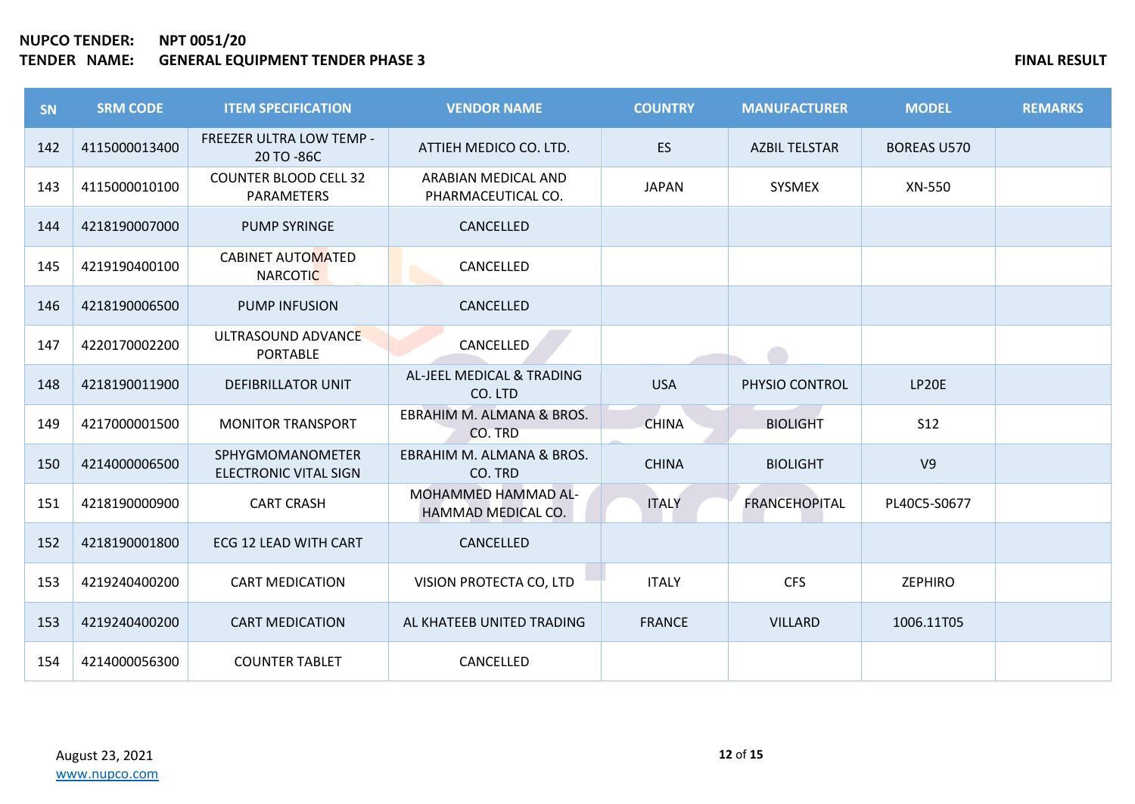| <b>SN</b> | <b>SRM CODE</b> | <b>ITEM SPECIFICATION</b>                        | <b>VENDOR NAME</b>                        | <b>COUNTRY</b> | <b>MANUFACTURER</b>  | <b>MODEL</b>       | <b>REMARKS</b> |
|-----------|-----------------|--------------------------------------------------|-------------------------------------------|----------------|----------------------|--------------------|----------------|
| 142       | 4115000013400   | FREEZER ULTRA LOW TEMP -<br>20 TO -86C           | ATTIEH MEDICO CO. LTD.                    | <b>ES</b>      | <b>AZBIL TELSTAR</b> | <b>BOREAS U570</b> |                |
| 143       | 4115000010100   | <b>COUNTER BLOOD CELL 32</b><br>PARAMETERS       | ARABIAN MEDICAL AND<br>PHARMACEUTICAL CO. | <b>JAPAN</b>   | SYSMEX               | XN-550             |                |
| 144       | 4218190007000   | <b>PUMP SYRINGE</b>                              | CANCELLED                                 |                |                      |                    |                |
| 145       | 4219190400100   | <b>CABINET AUTOMATED</b><br><b>NARCOTIC</b>      | CANCELLED                                 |                |                      |                    |                |
| 146       | 4218190006500   | <b>PUMP INFUSION</b>                             | CANCELLED                                 |                |                      |                    |                |
| 147       | 4220170002200   | ULTRASOUND ADVANCE<br><b>PORTABLE</b>            | <b>CANCELLED</b>                          |                |                      |                    |                |
| 148       | 4218190011900   | <b>DEFIBRILLATOR UNIT</b>                        | AL-JEEL MEDICAL & TRADING<br>CO. LTD      | <b>USA</b>     | PHYSIO CONTROL       | LP20E              |                |
| 149       | 4217000001500   | <b>MONITOR TRANSPORT</b>                         | EBRAHIM M. ALMANA & BROS.<br>CO. TRD      | <b>CHINA</b>   | <b>BIOLIGHT</b>      | <b>S12</b>         |                |
| 150       | 4214000006500   | SPHYGMOMANOMETER<br><b>ELECTRONIC VITAL SIGN</b> | EBRAHIM M. ALMANA & BROS.<br>CO. TRD      | <b>CHINA</b>   | <b>BIOLIGHT</b>      | V <sub>9</sub>     |                |
| 151       | 4218190000900   | <b>CART CRASH</b>                                | MOHAMMED HAMMAD AL-<br>HAMMAD MEDICAL CO. | <b>ITALY</b>   | <b>FRANCEHOPITAL</b> | PL40C5-S0677       |                |
| 152       | 4218190001800   | ECG 12 LEAD WITH CART                            | CANCELLED                                 |                |                      |                    |                |
| 153       | 4219240400200   | <b>CART MEDICATION</b>                           | VISION PROTECTA CO, LTD                   | <b>ITALY</b>   | <b>CFS</b>           | <b>ZEPHIRO</b>     |                |
| 153       | 4219240400200   | <b>CART MEDICATION</b>                           | AL KHATEEB UNITED TRADING                 | <b>FRANCE</b>  | <b>VILLARD</b>       | 1006.11T05         |                |
| 154       | 4214000056300   | <b>COUNTER TABLET</b>                            | CANCELLED                                 |                |                      |                    |                |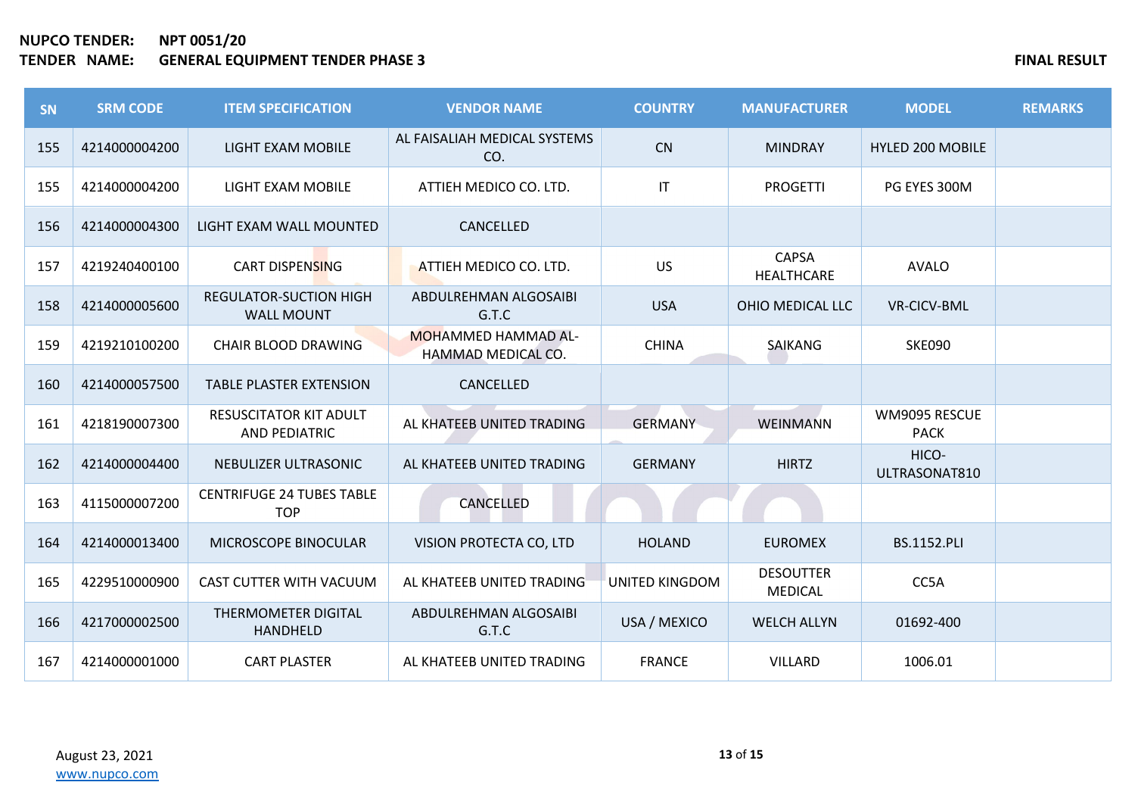| SN  | <b>SRM CODE</b> | <b>ITEM SPECIFICATION</b>                          | <b>VENDOR NAME</b>                               | <b>COUNTRY</b>        | <b>MANUFACTURER</b>                | <b>MODEL</b>                 | <b>REMARKS</b> |
|-----|-----------------|----------------------------------------------------|--------------------------------------------------|-----------------------|------------------------------------|------------------------------|----------------|
| 155 | 4214000004200   | LIGHT EXAM MOBILE                                  | AL FAISALIAH MEDICAL SYSTEMS<br>CO.              | CN                    | <b>MINDRAY</b>                     | <b>HYLED 200 MOBILE</b>      |                |
| 155 | 4214000004200   | LIGHT EXAM MOBILE                                  | ATTIEH MEDICO CO. LTD.                           | IT                    | <b>PROGETTI</b>                    | PG EYES 300M                 |                |
| 156 | 4214000004300   | LIGHT EXAM WALL MOUNTED                            | CANCELLED                                        |                       |                                    |                              |                |
| 157 | 4219240400100   | CART DISPENSING                                    | ATTIEH MEDICO CO. LTD.                           | <b>US</b>             | <b>CAPSA</b><br>HEALTHCARE         | <b>AVALO</b>                 |                |
| 158 | 4214000005600   | <b>REGULATOR-SUCTION HIGH</b><br><b>WALL MOUNT</b> | ABDULREHMAN ALGOSAIBI<br>G.T.C                   | <b>USA</b>            | OHIO MEDICAL LLC                   | <b>VR-CICV-BML</b>           |                |
| 159 | 4219210100200   | <b>CHAIR BLOOD DRAWING</b>                         | <b>MOHAMMED HAMMAD AL-</b><br>HAMMAD MEDICAL CO. | <b>CHINA</b>          | <b>SAIKANG</b>                     | <b>SKE090</b>                |                |
| 160 | 4214000057500   | <b>TABLE PLASTER EXTENSION</b>                     | CANCELLED                                        |                       |                                    |                              |                |
| 161 | 4218190007300   | <b>RESUSCITATOR KIT ADULT</b><br>AND PEDIATRIC     | AL KHATEEB UNITED TRADING                        | <b>GERMANY</b>        | <b>WEINMANN</b>                    | WM9095 RESCUE<br><b>PACK</b> |                |
| 162 | 4214000004400   | NEBULIZER ULTRASONIC                               | AL KHATEEB UNITED TRADING                        | <b>GERMANY</b>        | <b>HIRTZ</b>                       | HICO-<br>ULTRASONAT810       |                |
| 163 | 4115000007200   | <b>CENTRIFUGE 24 TUBES TABLE</b><br><b>TOP</b>     | <b>CANCELLED</b>                                 |                       |                                    |                              |                |
| 164 | 4214000013400   | MICROSCOPE BINOCULAR                               | VISION PROTECTA CO, LTD                          | <b>HOLAND</b>         | <b>EUROMEX</b>                     | <b>BS.1152.PLI</b>           |                |
| 165 | 4229510000900   | CAST CUTTER WITH VACUUM                            | AL KHATEEB UNITED TRADING                        | <b>UNITED KINGDOM</b> | <b>DESOUTTER</b><br><b>MEDICAL</b> | CC5A                         |                |
| 166 | 4217000002500   | <b>THERMOMETER DIGITAL</b><br><b>HANDHELD</b>      | ABDULREHMAN ALGOSAIBI<br>G.T.C                   | USA / MEXICO          | <b>WELCH ALLYN</b>                 | 01692-400                    |                |
| 167 | 4214000001000   | <b>CART PLASTER</b>                                | AL KHATEEB UNITED TRADING                        | <b>FRANCE</b>         | <b>VILLARD</b>                     | 1006.01                      |                |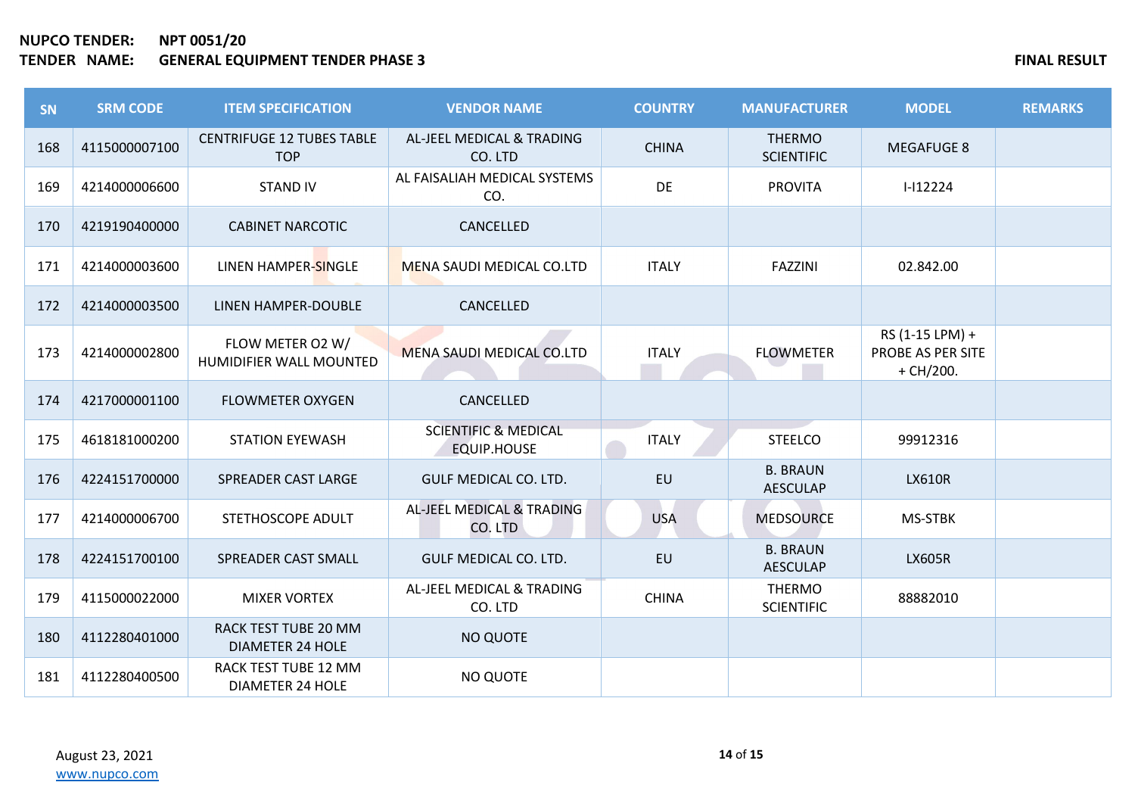| <b>SN</b> | <b>SRM CODE</b> | <b>ITEM SPECIFICATION</b>                       | <b>VENDOR NAME</b>                                    | <b>COUNTRY</b> | <b>MANUFACTURER</b>                | <b>MODEL</b>                                        | <b>REMARKS</b> |
|-----------|-----------------|-------------------------------------------------|-------------------------------------------------------|----------------|------------------------------------|-----------------------------------------------------|----------------|
| 168       | 4115000007100   | <b>CENTRIFUGE 12 TUBES TABLE</b><br><b>TOP</b>  | AL-JEEL MEDICAL & TRADING<br>CO. LTD                  | <b>CHINA</b>   | <b>THERMO</b><br><b>SCIENTIFIC</b> | <b>MEGAFUGE 8</b>                                   |                |
| 169       | 4214000006600   | <b>STAND IV</b>                                 | AL FAISALIAH MEDICAL SYSTEMS<br>CO.                   | <b>DE</b>      | <b>PROVITA</b>                     | $I-I12224$                                          |                |
| 170       | 4219190400000   | <b>CABINET NARCOTIC</b>                         | CANCELLED                                             |                |                                    |                                                     |                |
| 171       | 4214000003600   | LINEN HAMPER-SINGLE                             | <b>MENA SAUDI MEDICAL CO.LTD</b>                      | <b>ITALY</b>   | <b>FAZZINI</b>                     | 02.842.00                                           |                |
| 172       | 4214000003500   | LINEN HAMPER-DOUBLE                             | CANCELLED                                             |                |                                    |                                                     |                |
| 173       | 4214000002800   | FLOW METER O2 W/<br>HUMIDIFIER WALL MOUNTED     | <b>MENA SAUDI MEDICAL CO.LTD</b>                      | <b>ITALY</b>   | <b>FLOWMETER</b>                   | RS (1-15 LPM) +<br>PROBE AS PER SITE<br>$+$ CH/200. |                |
| 174       | 4217000001100   | <b>FLOWMETER OXYGEN</b>                         | CANCELLED                                             |                |                                    |                                                     |                |
| 175       | 4618181000200   | <b>STATION EYEWASH</b>                          | <b>SCIENTIFIC &amp; MEDICAL</b><br><b>EQUIP.HOUSE</b> | <b>ITALY</b>   | <b>STEELCO</b>                     | 99912316                                            |                |
| 176       | 4224151700000   | SPREADER CAST LARGE                             | <b>GULF MEDICAL CO. LTD.</b>                          | <b>EU</b>      | <b>B. BRAUN</b><br><b>AESCULAP</b> | <b>LX610R</b>                                       |                |
| 177       | 4214000006700   | STETHOSCOPE ADULT                               | AL-JEEL MEDICAL & TRADING<br>CO. LTD                  | <b>USA</b>     | <b>MEDSOURCE</b>                   | <b>MS-STBK</b>                                      |                |
| 178       | 4224151700100   | SPREADER CAST SMALL                             | GULF MEDICAL CO. LTD.                                 | EU             | <b>B. BRAUN</b><br><b>AESCULAP</b> | <b>LX605R</b>                                       |                |
| 179       | 4115000022000   | <b>MIXER VORTEX</b>                             | AL-JEEL MEDICAL & TRADING<br>CO. LTD                  | <b>CHINA</b>   | <b>THERMO</b><br><b>SCIENTIFIC</b> | 88882010                                            |                |
| 180       | 4112280401000   | RACK TEST TUBE 20 MM<br><b>DIAMETER 24 HOLE</b> | <b>NO QUOTE</b>                                       |                |                                    |                                                     |                |
| 181       | 4112280400500   | RACK TEST TUBE 12 MM<br><b>DIAMETER 24 HOLE</b> | NO QUOTE                                              |                |                                    |                                                     |                |